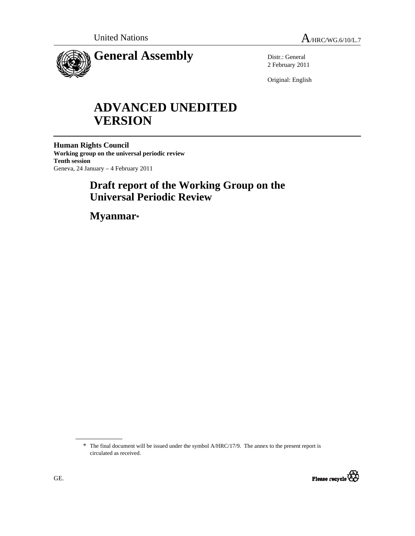

Distr.: General 2 February 2011

Original: English

# **ADVANCED UNEDITED VERSION**

**Human Rights Council Working group on the universal periodic review Tenth session**  Geneva, 24 January – 4 February 2011

## **Draft report of the Working Group on the Universal Periodic Review**

 **Myanmar\*** 

<sup>\*</sup> The final document will be issued under the symbol A/HRC/17/9. The annex to the present report is circulated as received.

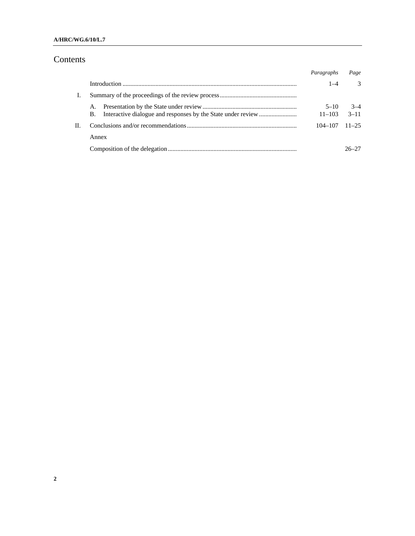#### **A/HRC/WG.6/10/L.7**

## Contents

|    |          | Paragraphs             | Page              |
|----|----------|------------------------|-------------------|
|    |          | 1–4                    | $\mathcal{R}$     |
|    |          |                        |                   |
|    | А.<br>B. | $5 - 10$<br>$11 - 103$ | $3-4$<br>$3 - 11$ |
| П. |          | 104–107                | $11 - 25$         |
|    | Annex    |                        |                   |
|    |          |                        | 26–27             |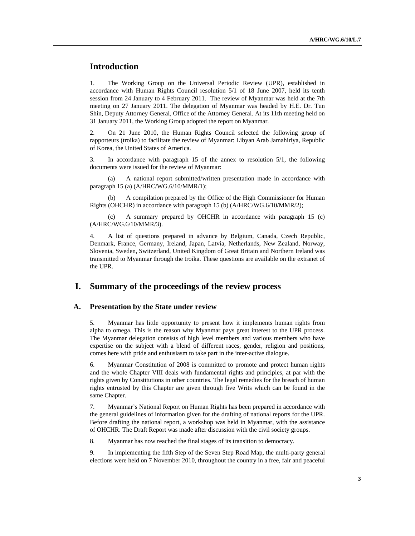## **Introduction**

1. The Working Group on the Universal Periodic Review (UPR), established in accordance with Human Rights Council resolution 5/1 of 18 June 2007, held its tenth session from 24 January to 4 February 2011. The review of Myanmar was held at the 7th meeting on 27 January 2011. The delegation of Myanmar was headed by H.E. Dr. Tun Shin, Deputy Attorney General, Office of the Attorney General. At its 11th meeting held on 31 January 2011, the Working Group adopted the report on Myanmar.

2. On 21 June 2010, the Human Rights Council selected the following group of rapporteurs (troika) to facilitate the review of Myanmar: Libyan Arab Jamahiriya, Republic of Korea, the United States of America.

3. In accordance with paragraph 15 of the annex to resolution 5/1, the following documents were issued for the review of Myanmar:

 (a) A national report submitted/written presentation made in accordance with paragraph 15 (a) (A/HRC/WG.6/10/MMR/1);

A compilation prepared by the Office of the High Commissioner for Human Rights (OHCHR) in accordance with paragraph 15 (b) (A/HRC/WG.6/10/MMR/2);

 (c) A summary prepared by OHCHR in accordance with paragraph 15 (c) (A/HRC/WG.6/10/MMR/3).

4. A list of questions prepared in advance by Belgium, Canada, Czech Republic, Denmark, France, Germany, Ireland, Japan, Latvia, Netherlands, New Zealand, Norway, Slovenia, Sweden, Switzerland, United Kingdom of Great Britain and Northern Ireland was transmitted to Myanmar through the troika. These questions are available on the extranet of the UPR.

## **I. Summary of the proceedings of the review process**

#### **A. Presentation by the State under review**

5. Myanmar has little opportunity to present how it implements human rights from alpha to omega. This is the reason why Myanmar pays great interest to the UPR process. The Myanmar delegation consists of high level members and various members who have expertise on the subject with a blend of different races, gender, religion and positions, comes here with pride and enthusiasm to take part in the inter-active dialogue.

6. Myanmar Constitution of 2008 is committed to promote and protect human rights and the whole Chapter VIII deals with fundamental rights and principles, at par with the rights given by Constitutions in other countries. The legal remedies for the breach of human rights entrusted by this Chapter are given through five Writs which can be found in the same Chapter.

7. Myanmar's National Report on Human Rights has been prepared in accordance with the general guidelines of information given for the drafting of national reports for the UPR. Before drafting the national report, a workshop was held in Myanmar, with the assistance of OHCHR. The Draft Report was made after discussion with the civil society groups.

8. Myanmar has now reached the final stages of its transition to democracy.

9. In implementing the fifth Step of the Seven Step Road Map, the multi-party general elections were held on 7 November 2010, throughout the country in a free, fair and peaceful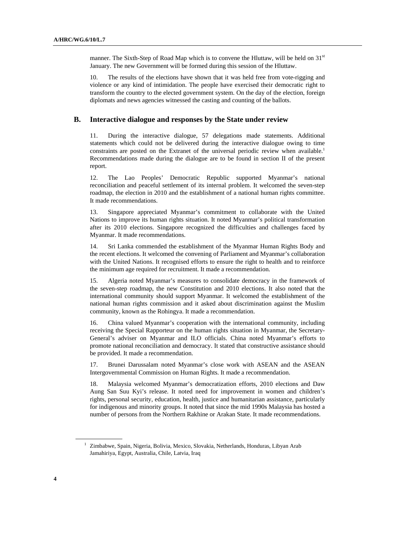manner. The Sixth-Step of Road Map which is to convene the Hluttaw, will be held on  $31<sup>st</sup>$ January. The new Government will be formed during this session of the Hluttaw.

10. The results of the elections have shown that it was held free from vote-rigging and violence or any kind of intimidation. The people have exercised their democratic right to transform the country to the elected government system. On the day of the election, foreign diplomats and news agencies witnessed the casting and counting of the ballots.

#### **B. Interactive dialogue and responses by the State under review**

11. During the interactive dialogue, 57 delegations made statements. Additional statements which could not be delivered during the interactive dialogue owing to time constraints are posted on the Extranet of the universal periodic review when available.<sup>1</sup> Recommendations made during the dialogue are to be found in section II of the present report.

12. The Lao Peoples' Democratic Republic supported Myanmar's national reconciliation and peaceful settlement of its internal problem. It welcomed the seven-step roadmap, the election in 2010 and the establishment of a national human rights committee. It made recommendations.

13. Singapore appreciated Myanmar's commitment to collaborate with the United Nations to improve its human rights situation. It noted Myanmar's political transformation after its 2010 elections. Singapore recognized the difficulties and challenges faced by Myanmar. It made recommendations.

14. Sri Lanka commended the establishment of the Myanmar Human Rights Body and the recent elections. It welcomed the convening of Parliament and Myanmar's collaboration with the United Nations. It recognised efforts to ensure the right to health and to reinforce the minimum age required for recruitment. It made a recommendation.

15. Algeria noted Myanmar's measures to consolidate democracy in the framework of the seven-step roadmap, the new Constitution and 2010 elections. It also noted that the international community should support Myanmar. It welcomed the establishment of the national human rights commission and it asked about discrimination against the Muslim community, known as the Rohingya. It made a recommendation.

16. China valued Myanmar's cooperation with the international community, including receiving the Special Rapporteur on the human rights situation in Myanmar, the Secretary-General's adviser on Myanmar and ILO officials. China noted Myanmar's efforts to promote national reconciliation and democracy. It stated that constructive assistance should be provided. It made a recommendation.

17. Brunei Darussalam noted Myanmar's close work with ASEAN and the ASEAN Intergovernmental Commission on Human Rights. It made a recommendation.

18. Malaysia welcomed Myanmar's democratization efforts, 2010 elections and Daw Aung San Suu Kyi's release. It noted need for improvement in women and children's rights, personal security, education, health, justice and humanitarian assistance, particularly for indigenous and minority groups. It noted that since the mid 1990s Malaysia has hosted a number of persons from the Northern Rakhine or Arakan State. It made recommendations.

<sup>&</sup>lt;sup>1</sup> Zimbabwe, Spain, Nigeria, Bolivia, Mexico, Slovakia, Netherlands, Honduras, Libyan Arab Jamahiriya, Egypt, Australia, Chile, Latvia, Iraq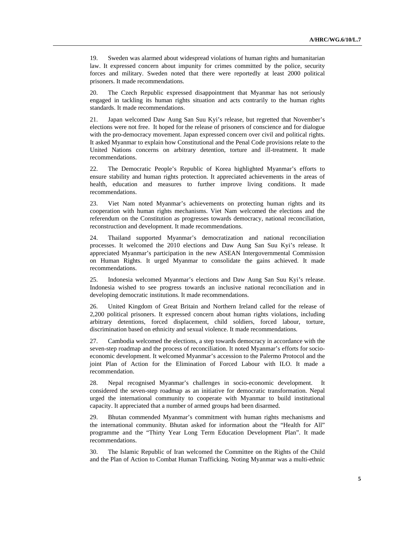19. Sweden was alarmed about widespread violations of human rights and humanitarian law. It expressed concern about impunity for crimes committed by the police, security forces and military. Sweden noted that there were reportedly at least 2000 political prisoners. It made recommendations.

20. The Czech Republic expressed disappointment that Myanmar has not seriously engaged in tackling its human rights situation and acts contrarily to the human rights standards. It made recommendations.

21. Japan welcomed Daw Aung San Suu Kyi's release, but regretted that November's elections were not free. It hoped for the release of prisoners of conscience and for dialogue with the pro-democracy movement. Japan expressed concern over civil and political rights. It asked Myanmar to explain how Constitutional and the Penal Code provisions relate to the United Nations concerns on arbitrary detention, torture and ill-treatment. It made recommendations.

22. The Democratic People's Republic of Korea highlighted Myanmar's efforts to ensure stability and human rights protection. It appreciated achievements in the areas of health, education and measures to further improve living conditions. It made recommendations.

23. Viet Nam noted Myanmar's achievements on protecting human rights and its cooperation with human rights mechanisms. Viet Nam welcomed the elections and the referendum on the Constitution as progresses towards democracy, national reconciliation, reconstruction and development. It made recommendations.

24. Thailand supported Myanmar's democratization and national reconciliation processes. It welcomed the 2010 elections and Daw Aung San Suu Kyi's release. It appreciated Myanmar's participation in the new ASEAN Intergovernmental Commission on Human Rights. It urged Myanmar to consolidate the gains achieved. It made recommendations.

25. Indonesia welcomed Myanmar's elections and Daw Aung San Suu Kyi's release. Indonesia wished to see progress towards an inclusive national reconciliation and in developing democratic institutions. It made recommendations.

26. United Kingdom of Great Britain and Northern Ireland called for the release of 2,200 political prisoners. It expressed concern about human rights violations, including arbitrary detentions, forced displacement, child soldiers, forced labour, torture, discrimination based on ethnicity and sexual violence. It made recommendations.

27. Cambodia welcomed the elections, a step towards democracy in accordance with the seven-step roadmap and the process of reconciliation. It noted Myanmar's efforts for socioeconomic development. It welcomed Myanmar's accession to the Palermo Protocol and the joint Plan of Action for the Elimination of Forced Labour with ILO. It made a recommendation.

28. Nepal recognised Myanmar's challenges in socio-economic development. It considered the seven-step roadmap as an initiative for democratic transformation. Nepal urged the international community to cooperate with Myanmar to build institutional capacity. It appreciated that a number of armed groups had been disarmed.

29. Bhutan commended Myanmar's commitment with human rights mechanisms and the international community. Bhutan asked for information about the "Health for All" programme and the "Thirty Year Long Term Education Development Plan". It made recommendations.

30. The Islamic Republic of Iran welcomed the Committee on the Rights of the Child and the Plan of Action to Combat Human Trafficking. Noting Myanmar was a multi-ethnic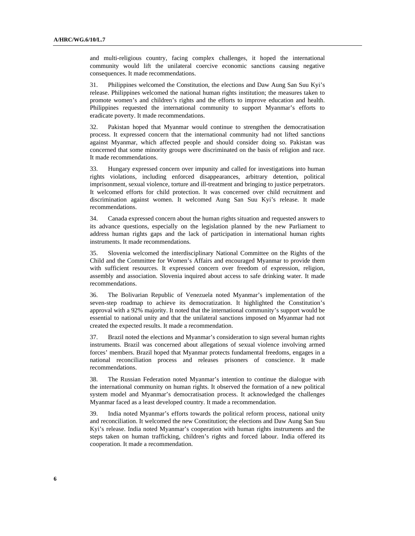and multi-religious country, facing complex challenges, it hoped the international community would lift the unilateral coercive economic sanctions causing negative consequences. It made recommendations.

31. Philippines welcomed the Constitution, the elections and Daw Aung San Suu Kyi's release. Philippines welcomed the national human rights institution; the measures taken to promote women's and children's rights and the efforts to improve education and health. Philippines requested the international community to support Myanmar's efforts to eradicate poverty. It made recommendations.

32. Pakistan hoped that Myanmar would continue to strengthen the democratisation process. It expressed concern that the international community had not lifted sanctions against Myanmar, which affected people and should consider doing so. Pakistan was concerned that some minority groups were discriminated on the basis of religion and race. It made recommendations.

33. Hungary expressed concern over impunity and called for investigations into human rights violations, including enforced disappearances, arbitrary detention, political imprisonment, sexual violence, torture and ill-treatment and bringing to justice perpetrators. It welcomed efforts for child protection. It was concerned over child recruitment and discrimination against women. It welcomed Aung San Suu Kyi's release. It made recommendations.

34. Canada expressed concern about the human rights situation and requested answers to its advance questions, especially on the legislation planned by the new Parliament to address human rights gaps and the lack of participation in international human rights instruments. It made recommendations.

35. Slovenia welcomed the interdisciplinary National Committee on the Rights of the Child and the Committee for Women's Affairs and encouraged Myanmar to provide them with sufficient resources. It expressed concern over freedom of expression, religion, assembly and association. Slovenia inquired about access to safe drinking water. It made recommendations.

36. The Bolivarian Republic of Venezuela noted Myanmar's implementation of the seven-step roadmap to achieve its democratization. It highlighted the Constitution's approval with a 92% majority. It noted that the international community's support would be essential to national unity and that the unilateral sanctions imposed on Myanmar had not created the expected results. It made a recommendation.

37. Brazil noted the elections and Myanmar's consideration to sign several human rights instruments. Brazil was concerned about allegations of sexual violence involving armed forces' members. Brazil hoped that Myanmar protects fundamental freedoms, engages in a national reconciliation process and releases prisoners of conscience. It made recommendations.

38. The Russian Federation noted Myanmar's intention to continue the dialogue with the international community on human rights. It observed the formation of a new political system model and Myanmar's democratisation process. It acknowledged the challenges Myanmar faced as a least developed country. It made a recommendation.

39. India noted Myanmar's efforts towards the political reform process, national unity and reconciliation. It welcomed the new Constitution; the elections and Daw Aung San Suu Kyi's release. India noted Myanmar's cooperation with human rights instruments and the steps taken on human trafficking, children's rights and forced labour. India offered its cooperation. It made a recommendation.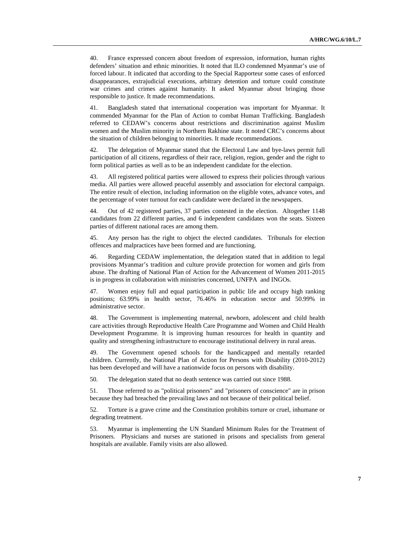40. France expressed concern about freedom of expression, information, human rights defenders' situation and ethnic minorities. It noted that ILO condemned Myanmar's use of forced labour. It indicated that according to the Special Rapporteur some cases of enforced disappearances, extrajudicial executions, arbitrary detention and torture could constitute war crimes and crimes against humanity. It asked Myanmar about bringing those responsible to justice. It made recommendations.

41. Bangladesh stated that international cooperation was important for Myanmar. It commended Myanmar for the Plan of Action to combat Human Trafficking. Bangladesh referred to CEDAW's concerns about restrictions and discrimination against Muslim women and the Muslim minority in Northern Rakhine state. It noted CRC's concerns about the situation of children belonging to minorities. It made recommendations.

42. The delegation of Myanmar stated that the Electoral Law and bye-laws permit full participation of all citizens, regardless of their race, religion, region, gender and the right to form political parties as well as to be an independent candidate for the election.

43. All registered political parties were allowed to express their policies through various media. All parties were allowed peaceful assembly and association for electoral campaign. The entire result of election, including information on the eligible votes, advance votes, and the percentage of voter turnout for each candidate were declared in the newspapers.

44. Out of 42 registered parties, 37 parties contested in the election. Altogether 1148 candidates from 22 different parties, and 6 independent candidates won the seats. Sixteen parties of different national races are among them.

45. Any person has the right to object the elected candidates. Tribunals for election offences and malpractices have been formed and are functioning.

46. Regarding CEDAW implementation, the delegation stated that in addition to legal provisions Myanmar's tradition and culture provide protection for women and girls from abuse. The drafting of National Plan of Action for the Advancement of Women 2011-2015 is in progress in collaboration with ministries concerned, UNFPA and INGOs.

47. Women enjoy full and equal participation in public life and occupy high ranking positions; 63.99% in health sector, 76.46% in education sector and 50.99% in administrative sector.

48. The Government is implementing maternal, newborn, adolescent and child health care activities through Reproductive Health Care Programme and Women and Child Health Development Programme. It is improving human resources for health in quantity and quality and strengthening infrastructure to encourage institutional delivery in rural areas.

49. The Government opened schools for the handicapped and mentally retarded children. Currently, the National Plan of Action for Persons with Disability (2010-2012) has been developed and will have a nationwide focus on persons with disability.

50. The delegation stated that no death sentence was carried out since 1988.

51. Those referred to as "political prisoners" and "prisoners of conscience" are in prison because they had breached the prevailing laws and not because of their political belief.

52. Torture is a grave crime and the Constitution prohibits torture or cruel, inhumane or degrading treatment.

53. Myanmar is implementing the UN Standard Minimum Rules for the Treatment of Prisoners. Physicians and nurses are stationed in prisons and specialists from general hospitals are available. Family visits are also allowed.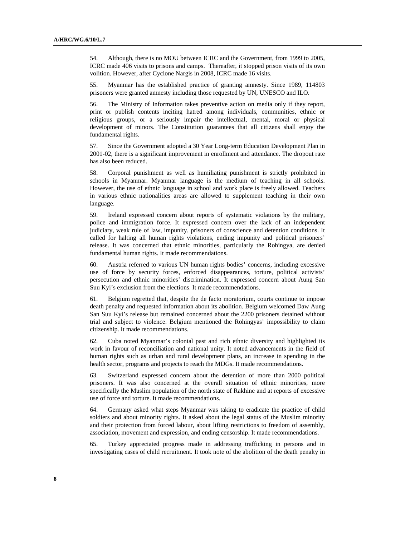54. Although, there is no MOU between ICRC and the Government, from 1999 to 2005, ICRC made 406 visits to prisons and camps. Thereafter, it stopped prison visits of its own volition. However, after Cyclone Nargis in 2008, ICRC made 16 visits.

55. Myanmar has the established practice of granting amnesty. Since 1989, 114803 prisoners were granted amnesty including those requested by UN, UNESCO and ILO.

56. The Ministry of Information takes preventive action on media only if they report, print or publish contents inciting hatred among individuals, communities, ethnic or religious groups, or a seriously impair the intellectual, mental, moral or physical development of minors. The Constitution guarantees that all citizens shall enjoy the fundamental rights.

57. Since the Government adopted a 30 Year Long-term Education Development Plan in 2001-02, there is a significant improvement in enrollment and attendance. The dropout rate has also been reduced.

58. Corporal punishment as well as humiliating punishment is strictly prohibited in schools in Myanmar. Myanmar language is the medium of teaching in all schools. However, the use of ethnic language in school and work place is freely allowed. Teachers in various ethnic nationalities areas are allowed to supplement teaching in their own language.

59. Ireland expressed concern about reports of systematic violations by the military, police and immigration force. It expressed concern over the lack of an independent judiciary, weak rule of law, impunity, prisoners of conscience and detention conditions. It called for halting all human rights violations, ending impunity and political prisoners' release. It was concerned that ethnic minorities, particularly the Rohingya, are denied fundamental human rights. It made recommendations.

60. Austria referred to various UN human rights bodies' concerns, including excessive use of force by security forces, enforced disappearances, torture, political activists' persecution and ethnic minorities' discrimination. It expressed concern about Aung San Suu Kyi's exclusion from the elections. It made recommendations.

61. Belgium regretted that, despite the de facto moratorium, courts continue to impose death penalty and requested information about its abolition. Belgium welcomed Daw Aung San Suu Kyi's release but remained concerned about the 2200 prisoners detained without trial and subject to violence. Belgium mentioned the Rohingyas' impossibility to claim citizenship. It made recommendations.

62. Cuba noted Myanmar's colonial past and rich ethnic diversity and highlighted its work in favour of reconciliation and national unity. It noted advancements in the field of human rights such as urban and rural development plans, an increase in spending in the health sector, programs and projects to reach the MDGs. It made recommendations.

63. Switzerland expressed concern about the detention of more than 2000 political prisoners. It was also concerned at the overall situation of ethnic minorities, more specifically the Muslim population of the north state of Rakhine and at reports of excessive use of force and torture. It made recommendations.

64. Germany asked what steps Myanmar was taking to eradicate the practice of child soldiers and about minority rights. It asked about the legal status of the Muslim minority and their protection from forced labour, about lifting restrictions to freedom of assembly, association, movement and expression, and ending censorship. It made recommendations.

65. Turkey appreciated progress made in addressing trafficking in persons and in investigating cases of child recruitment. It took note of the abolition of the death penalty in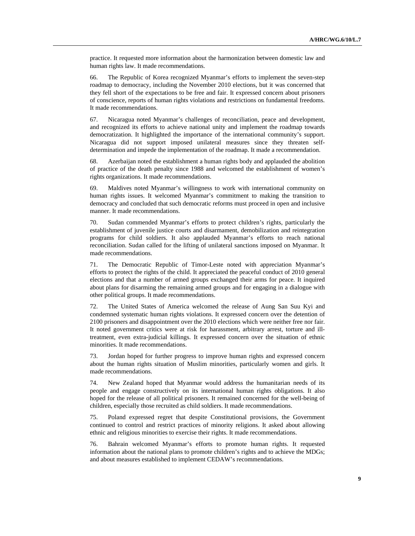practice. It requested more information about the harmonization between domestic law and human rights law. It made recommendations.

66. The Republic of Korea recognized Myanmar's efforts to implement the seven-step roadmap to democracy, including the November 2010 elections, but it was concerned that they fell short of the expectations to be free and fair. It expressed concern about prisoners of conscience, reports of human rights violations and restrictions on fundamental freedoms. It made recommendations.

67. Nicaragua noted Myanmar's challenges of reconciliation, peace and development, and recognized its efforts to achieve national unity and implement the roadmap towards democratization. It highlighted the importance of the international community's support. Nicaragua did not support imposed unilateral measures since they threaten selfdetermination and impede the implementation of the roadmap. It made a recommendation.

68. Azerbaijan noted the establishment a human rights body and applauded the abolition of practice of the death penalty since 1988 and welcomed the establishment of women's rights organizations. It made recommendations.

69. Maldives noted Myanmar's willingness to work with international community on human rights issues. It welcomed Myanmar's commitment to making the transition to democracy and concluded that such democratic reforms must proceed in open and inclusive manner. It made recommendations.

70. Sudan commended Myanmar's efforts to protect children's rights, particularly the establishment of juvenile justice courts and disarmament, demobilization and reintegration programs for child soldiers. It also applauded Myanmar's efforts to reach national reconciliation. Sudan called for the lifting of unilateral sanctions imposed on Myanmar. It made recommendations.

71. The Democratic Republic of Timor-Leste noted with appreciation Myanmar's efforts to protect the rights of the child. It appreciated the peaceful conduct of 2010 general elections and that a number of armed groups exchanged their arms for peace. It inquired about plans for disarming the remaining armed groups and for engaging in a dialogue with other political groups. It made recommendations.

72. The United States of America welcomed the release of Aung San Suu Kyi and condemned systematic human rights violations. It expressed concern over the detention of 2100 prisoners and disappointment over the 2010 elections which were neither free nor fair. It noted government critics were at risk for harassment, arbitrary arrest, torture and illtreatment, even extra-judicial killings. It expressed concern over the situation of ethnic minorities. It made recommendations.

73. Jordan hoped for further progress to improve human rights and expressed concern about the human rights situation of Muslim minorities, particularly women and girls. It made recommendations.

74. New Zealand hoped that Myanmar would address the humanitarian needs of its people and engage constructively on its international human rights obligations. It also hoped for the release of all political prisoners. It remained concerned for the well-being of children, especially those recruited as child soldiers. It made recommendations.

75. Poland expressed regret that despite Constitutional provisions, the Government continued to control and restrict practices of minority religions. It asked about allowing ethnic and religious minorities to exercise their rights. It made recommendations.

76. Bahrain welcomed Myanmar's efforts to promote human rights. It requested information about the national plans to promote children's rights and to achieve the MDGs; and about measures established to implement CEDAW's recommendations.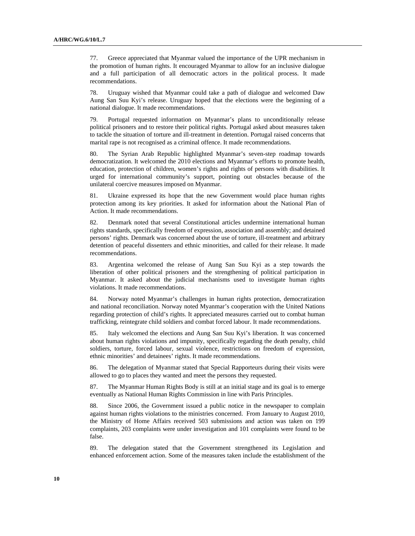77. Greece appreciated that Myanmar valued the importance of the UPR mechanism in the promotion of human rights. It encouraged Myanmar to allow for an inclusive dialogue and a full participation of all democratic actors in the political process. It made recommendations.

78. Uruguay wished that Myanmar could take a path of dialogue and welcomed Daw Aung San Suu Kyi's release. Uruguay hoped that the elections were the beginning of a national dialogue. It made recommendations.

79. Portugal requested information on Myanmar's plans to unconditionally release political prisoners and to restore their political rights. Portugal asked about measures taken to tackle the situation of torture and ill-treatment in detention. Portugal raised concerns that marital rape is not recognised as a criminal offence. It made recommendations.

80. The Syrian Arab Republic highlighted Myanmar's seven-step roadmap towards democratization. It welcomed the 2010 elections and Myanmar's efforts to promote health, education, protection of children, women's rights and rights of persons with disabilities. It urged for international community's support, pointing out obstacles because of the unilateral coercive measures imposed on Myanmar.

81. Ukraine expressed its hope that the new Government would place human rights protection among its key priorities. It asked for information about the National Plan of Action. It made recommendations.

82. Denmark noted that several Constitutional articles undermine international human rights standards, specifically freedom of expression, association and assembly; and detained persons' rights. Denmark was concerned about the use of torture, ill-treatment and arbitrary detention of peaceful dissenters and ethnic minorities, and called for their release. It made recommendations.

83. Argentina welcomed the release of Aung San Suu Kyi as a step towards the liberation of other political prisoners and the strengthening of political participation in Myanmar. It asked about the judicial mechanisms used to investigate human rights violations. It made recommendations.

84. Norway noted Myanmar's challenges in human rights protection, democratization and national reconciliation. Norway noted Myanmar's cooperation with the United Nations regarding protection of child's rights. It appreciated measures carried out to combat human trafficking, reintegrate child soldiers and combat forced labour. It made recommendations.

85. Italy welcomed the elections and Aung San Suu Kyi's liberation. It was concerned about human rights violations and impunity, specifically regarding the death penalty, child soldiers, torture, forced labour, sexual violence, restrictions on freedom of expression, ethnic minorities' and detainees' rights. It made recommendations.

86. The delegation of Myanmar stated that Special Rapporteurs during their visits were allowed to go to places they wanted and meet the persons they requested.

87. The Myanmar Human Rights Body is still at an initial stage and its goal is to emerge eventually as National Human Rights Commission in line with Paris Principles.

88. Since 2006, the Government issued a public notice in the newspaper to complain against human rights violations to the ministries concerned. From January to August 2010, the Ministry of Home Affairs received 503 submissions and action was taken on 199 complaints, 203 complaints were under investigation and 101 complaints were found to be false.

89. The delegation stated that the Government strengthened its Legislation and enhanced enforcement action. Some of the measures taken include the establishment of the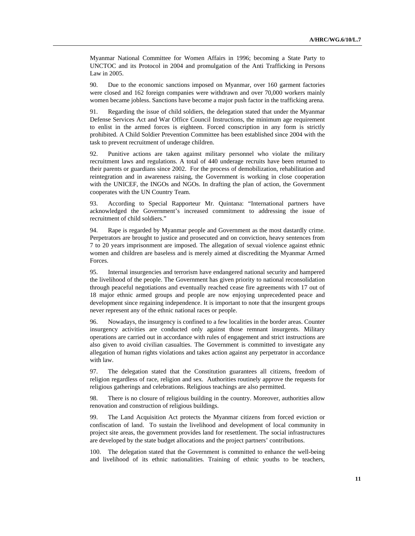Myanmar National Committee for Women Affairs in 1996; becoming a State Party to UNCTOC and its Protocol in 2004 and promulgation of the Anti Trafficking in Persons Law in 2005.

90. Due to the economic sanctions imposed on Myanmar, over 160 garment factories were closed and 162 foreign companies were withdrawn and over 70,000 workers mainly women became jobless. Sanctions have become a major push factor in the trafficking arena.

91. Regarding the issue of child soldiers, the delegation stated that under the Myanmar Defense Services Act and War Office Council Instructions, the minimum age requirement to enlist in the armed forces is eighteen. Forced conscription in any form is strictly prohibited. A Child Soldier Prevention Committee has been established since 2004 with the task to prevent recruitment of underage children.

92. Punitive actions are taken against military personnel who violate the military recruitment laws and regulations. A total of 440 underage recruits have been returned to their parents or guardians since 2002. For the process of demobilization, rehabilitation and reintegration and in awareness raising, the Government is working in close cooperation with the UNICEF, the INGOs and NGOs. In drafting the plan of action, the Government cooperates with the UN Country Team.

93. According to Special Rapporteur Mr. Quintana: "International partners have acknowledged the Government's increased commitment to addressing the issue of recruitment of child soldiers."

94. Rape is regarded by Myanmar people and Government as the most dastardly crime. Perpetrators are brought to justice and prosecuted and on conviction, heavy sentences from 7 to 20 years imprisonment are imposed. The allegation of sexual violence against ethnic women and children are baseless and is merely aimed at discrediting the Myanmar Armed Forces.

95. Internal insurgencies and terrorism have endangered national security and hampered the livelihood of the people. The Government has given priority to national reconsolidation through peaceful negotiations and eventually reached cease fire agreements with 17 out of 18 major ethnic armed groups and people are now enjoying unprecedented peace and development since regaining independence. It is important to note that the insurgent groups never represent any of the ethnic national races or people.

96. Nowadays, the insurgency is confined to a few localities in the border areas. Counter insurgency activities are conducted only against those remnant insurgents. Military operations are carried out in accordance with rules of engagement and strict instructions are also given to avoid civilian casualties. The Government is committed to investigate any allegation of human rights violations and takes action against any perpetrator in accordance with law.

97. The delegation stated that the Constitution guarantees all citizens, freedom of religion regardless of race, religion and sex. Authorities routinely approve the requests for religious gatherings and celebrations. Religious teachings are also permitted.

98. There is no closure of religious building in the country. Moreover, authorities allow renovation and construction of religious buildings.

99. The Land Acquisition Act protects the Myanmar citizens from forced eviction or confiscation of land. To sustain the livelihood and development of local community in project site areas, the government provides land for resettlement. The social infrastructures are developed by the state budget allocations and the project partners' contributions.

100. The delegation stated that the Government is committed to enhance the well-being and livelihood of its ethnic nationalities. Training of ethnic youths to be teachers,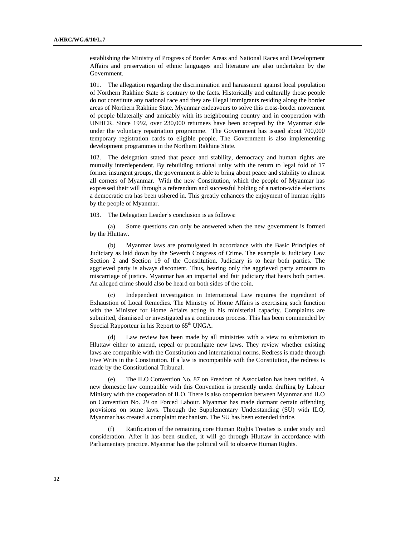establishing the Ministry of Progress of Border Areas and National Races and Development Affairs and preservation of ethnic languages and literature are also undertaken by the Government.

101. The allegation regarding the discrimination and harassment against local population of Northern Rakhine State is contrary to the facts. Historically and culturally those people do not constitute any national race and they are illegal immigrants residing along the border areas of Northern Rakhine State. Myanmar endeavours to solve this cross-border movement of people bilaterally and amicably with its neighbouring country and in cooperation with UNHCR. Since 1992, over 230,000 returnees have been accepted by the Myanmar side under the voluntary repatriation programme. The Government has issued about 700,000 temporary registration cards to eligible people. The Government is also implementing development programmes in the Northern Rakhine State.

102. The delegation stated that peace and stability, democracy and human rights are mutually interdependent. By rebuilding national unity with the return to legal fold of 17 former insurgent groups, the government is able to bring about peace and stability to almost all corners of Myanmar. With the new Constitution, which the people of Myanmar has expressed their will through a referendum and successful holding of a nation-wide elections a democratic era has been ushered in. This greatly enhances the enjoyment of human rights by the people of Myanmar.

103. The Delegation Leader's conclusion is as follows:

 (a) Some questions can only be answered when the new government is formed by the Hluttaw.

 (b) Myanmar laws are promulgated in accordance with the Basic Principles of Judiciary as laid down by the Seventh Congress of Crime. The example is Judiciary Law Section 2 and Section 19 of the Constitution. Judiciary is to hear both parties. The aggrieved party is always discontent. Thus, hearing only the aggrieved party amounts to miscarriage of justice. Myanmar has an impartial and fair judiciary that hears both parties. An alleged crime should also be heard on both sides of the coin.

 (c) Independent investigation in International Law requires the ingredient of Exhaustion of Local Remedies. The Ministry of Home Affairs is exercising such function with the Minister for Home Affairs acting in his ministerial capacity. Complaints are submitted, dismissed or investigated as a continuous process. This has been commended by Special Rapporteur in his Report to  $65<sup>th</sup>$  UNGA.

 (d) Law review has been made by all ministries with a view to submission to Hluttaw either to amend, repeal or promulgate new laws. They review whether existing laws are compatible with the Constitution and international norms. Redress is made through Five Writs in the Constitution. If a law is incompatible with the Constitution, the redress is made by the Constitutional Tribunal.

 (e) The ILO Convention No. 87 on Freedom of Association has been ratified. A new domestic law compatible with this Convention is presently under drafting by Labour Ministry with the cooperation of ILO. There is also cooperation between Myanmar and ILO on Convention No. 29 on Forced Labour. Myanmar has made dormant certain offending provisions on some laws. Through the Supplementary Understanding (SU) with ILO, Myanmar has created a complaint mechanism. The SU has been extended thrice.

 (f) Ratification of the remaining core Human Rights Treaties is under study and consideration. After it has been studied, it will go through Hluttaw in accordance with Parliamentary practice. Myanmar has the political will to observe Human Rights.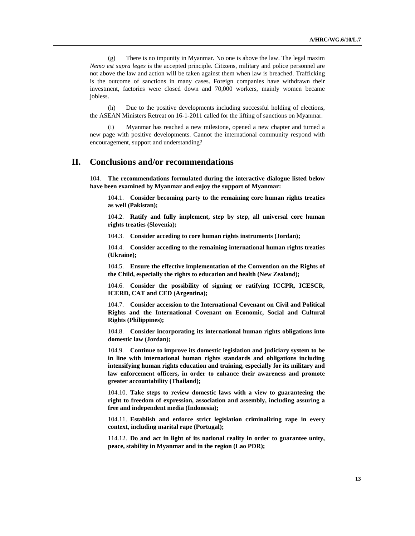(g) There is no impunity in Myanmar. No one is above the law. The legal maxim *Nemo est supra leges* is the accepted principle. Citizens, military and police personnel are not above the law and action will be taken against them when law is breached. Trafficking is the outcome of sanctions in many cases. Foreign companies have withdrawn their investment, factories were closed down and 70,000 workers, mainly women became jobless.

 (h) Due to the positive developments including successful holding of elections, the ASEAN Ministers Retreat on 16-1-2011 called for the lifting of sanctions on Myanmar.

Myanmar has reached a new milestone, opened a new chapter and turned a new page with positive developments. Cannot the international community respond with encouragement, support and understanding?

## **II. Conclusions and/or recommendations**

104. **The recommendations formulated during the interactive dialogue listed below have been examined by Myanmar and enjoy the support of Myanmar:**

104.1. **Consider becoming party to the remaining core human rights treaties as well (Pakistan);**

104.2. **Ratify and fully implement, step by step, all universal core human rights treaties (Slovenia);**

104.3. **Consider acceding to core human rights instruments (Jordan);**

104.4. **Consider acceding to the remaining international human rights treaties (Ukraine);**

104.5. **Ensure the effective implementation of the Convention on the Rights of the Child, especially the rights to education and health (New Zealand);**

104.6. **Consider the possibility of signing or ratifying ICCPR, ICESCR, ICERD, CAT and CED (Argentina);**

104.7. **Consider accession to the International Covenant on Civil and Political Rights and the International Covenant on Economic, Social and Cultural Rights (Philippines);**

104.8. **Consider incorporating its international human rights obligations into domestic law (Jordan);**

104.9. **Continue to improve its domestic legislation and judiciary system to be in line with international human rights standards and obligations including intensifying human rights education and training, especially for its military and law enforcement officers, in order to enhance their awareness and promote greater accountability (Thailand);**

104.10. **Take steps to review domestic laws with a view to guaranteeing the right to freedom of expression, association and assembly, including assuring a free and independent media (Indonesia);**

104.11. **Establish and enforce strict legislation criminalizing rape in every context, including marital rape (Portugal);**

114.12. **Do and act in light of its national reality in order to guarantee unity, peace, stability in Myanmar and in the region (Lao PDR);**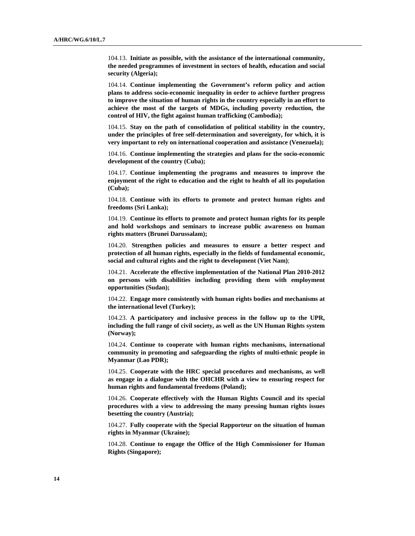104.13. **Initiate as possible, with the assistance of the international community, the needed programmes of investment in sectors of health, education and social security (Algeria);**

104.14. **Continue implementing the Government's reform policy and action plans to address socio-economic inequality in order to achieve further progress to improve the situation of human rights in the country especially in an effort to achieve the most of the targets of MDGs, including poverty reduction, the control of HIV, the fight against human trafficking (Cambodia);**

104.15. **Stay on the path of consolidation of political stability in the country, under the principles of free self-determination and sovereignty, for which, it is very important to rely on international cooperation and assistance (Venezuela);**

104.16. **Continue implementing the strategies and plans for the socio-economic development of the country (Cuba);**

104.17. **Continue implementing the programs and measures to improve the enjoyment of the right to education and the right to health of all its population (Cuba);**

104.18. **Continue with its efforts to promote and protect human rights and freedoms (Sri Lanka);**

104.19. **Continue its efforts to promote and protect human rights for its people and hold workshops and seminars to increase public awareness on human rights matters (Brunei Darussalam);**

104.20. **Strengthen policies and measures to ensure a better respect and protection of all human rights, especially in the fields of fundamental economic, social and cultural rights and the right to development (Viet Nam)**;

104.21. **Accelerate the effective implementation of the National Plan 2010-2012 on persons with disabilities including providing them with employment opportunities (Sudan);**

104.22. **Engage more consistently with human rights bodies and mechanisms at the international level (Turkey);**

104.23. **A participatory and inclusive process in the follow up to the UPR, including the full range of civil society, as well as the UN Human Rights system (Norway);**

104.24. **Continue to cooperate with human rights mechanisms, international community in promoting and safeguarding the rights of multi-ethnic people in Myanmar (Lao PDR);**

104.25. **Cooperate with the HRC special procedures and mechanisms, as well as engage in a dialogue with the OHCHR with a view to ensuring respect for human rights and fundamental freedoms (Poland);**

104.26. **Cooperate effectively with the Human Rights Council and its special procedures with a view to addressing the many pressing human rights issues besetting the country (Austria);**

104.27. **Fully cooperate with the Special Rapporteur on the situation of human rights in Myanmar (Ukraine);**

104.28. **Continue to engage the Office of the High Commissioner for Human Rights (Singapore);**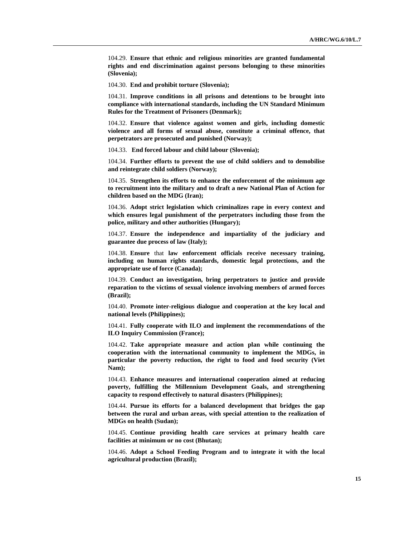104.29. **Ensure that ethnic and religious minorities are granted fundamental rights and end discrimination against persons belonging to these minorities (Slovenia);**

104.30. **End and prohibit torture (Slovenia);**

104.31. **Improve conditions in all prisons and detentions to be brought into compliance with international standards, including the UN Standard Minimum Rules for the Treatment of Prisoners (Denmark);**

104.32. **Ensure that violence against women and girls, including domestic violence and all forms of sexual abuse, constitute a criminal offence, that perpetrators are prosecuted and punished (Norway);**

104.33. **End forced labour and child labour (Slovenia);**

104.34. **Further efforts to prevent the use of child soldiers and to demobilise and reintegrate child soldiers (Norway);**

104.35. **Strengthen its efforts to enhance the enforcement of the minimum age to recruitment into the military and to draft a new National Plan of Action for children based on the MDG (Iran);**

104.36. **Adopt strict legislation which criminalizes rape in every context and which ensures legal punishment of the perpetrators including those from the police, military and other authorities (Hungary);**

104.37. **Ensure the independence and impartiality of the judiciary and guarantee due process of law (Italy);**

104.38. **Ensure** that **law enforcement officials receive necessary training, including on human rights standards, domestic legal protections, and the appropriate use of force (Canada);**

104.39. **Conduct an investigation, bring perpetrators to justice and provide reparation to the victims of sexual violence involving members of armed forces (Brazil);**

104.40. **Promote inter-religious dialogue and cooperation at the key local and national levels (Philippines);**

104.41. **Fully cooperate with ILO and implement the recommendations of the ILO Inquiry Commission (France);**

104.42. **Take appropriate measure and action plan while continuing the cooperation with the international community to implement the MDGs, in particular the poverty reduction, the right to food and food security (Viet Nam);**

104.43. **Enhance measures and international cooperation aimed at reducing poverty, fulfilling the Millennium Development Goals, and strengthening capacity to respond effectively to natural disasters (Philippines);**

104.44. **Pursue its efforts for a balanced development that bridges the gap between the rural and urban areas, with special attention to the realization of MDGs on health (Sudan);**

104.45. **Continue providing health care services at primary health care facilities at minimum or no cost (Bhutan);**

104.46. **Adopt a School Feeding Program and to integrate it with the local agricultural production (Brazil);**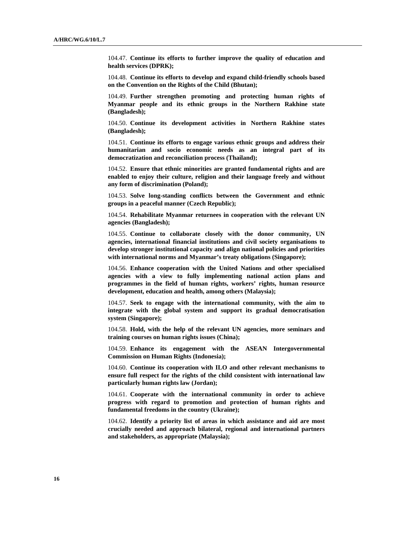104.47. **Continue its efforts to further improve the quality of education and health services (DPRK);**

104.48. **Continue its efforts to develop and expand child-friendly schools based on the Convention on the Rights of the Child (Bhutan);**

104.49. **Further strengthen promoting and protecting human rights of Myanmar people and its ethnic groups in the Northern Rakhine state (Bangladesh);**

104.50. **Continue its development activities in Northern Rakhine states (Bangladesh);**

104.51. **Continue its efforts to engage various ethnic groups and address their humanitarian and socio economic needs as an integral part of its democratization and reconciliation process (Thailand);**

104.52. **Ensure that ethnic minorities are granted fundamental rights and are enabled to enjoy their culture, religion and their language freely and without any form of discrimination (Poland);**

104.53. **Solve long-standing conflicts between the Government and ethnic groups in a peaceful manner (Czech Republic);**

104.54. **Rehabilitate Myanmar returnees in cooperation with the relevant UN agencies (Bangladesh);**

104.55. **Continue to collaborate closely with the donor community, UN agencies, international financial institutions and civil society organisations to develop stronger institutional capacity and align national policies and priorities with international norms and Myanmar's treaty obligations (Singapore);**

104.56. **Enhance cooperation with the United Nations and other specialised agencies with a view to fully implementing national action plans and programmes in the field of human rights, workers' rights, human resource development, education and health, among others (Malaysia);**

104.57. **Seek to engage with the international community, with the aim to integrate with the global system and support its gradual democratisation system (Singapore);**

104.58. **Hold, with the help of the relevant UN agencies, more seminars and training courses on human rights issues (China);**

104.59. **Enhance its engagement with the ASEAN Intergovernmental Commission on Human Rights (Indonesia);**

104.60. **Continue its cooperation with ILO and other relevant mechanisms to ensure full respect for the rights of the child consistent with international law particularly human rights law (Jordan);**

104.61. **Cooperate with the international community in order to achieve progress with regard to promotion and protection of human rights and fundamental freedoms in the country (Ukraine);**

104.62. **Identify a priority list of areas in which assistance and aid are most crucially needed and approach bilateral, regional and international partners and stakeholders, as appropriate (Malaysia);**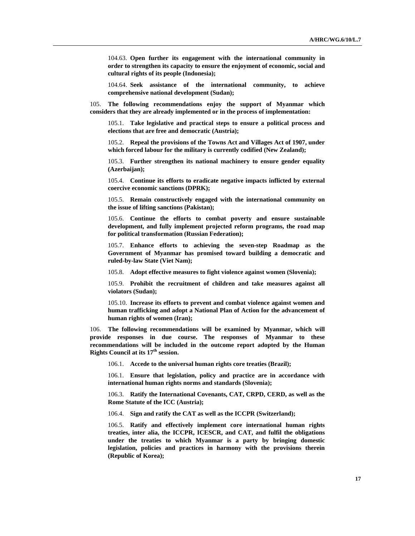104.63. **Open further its engagement with the international community in order to strengthen its capacity to ensure the enjoyment of economic, social and cultural rights of its people (Indonesia);**

104.64. **Seek assistance of the international community, to achieve comprehensive national development (Sudan);**

105. **The following recommendations enjoy the support of Myanmar which considers that they are already implemented or in the process of implementation:** 

105.1. **Take legislative and practical steps to ensure a political process and elections that are free and democratic (Austria);** 

105.2. **Repeal the provisions of the Towns Act and Villages Act of 1907, under which forced labour for the military is currently codified (New Zealand);** 

105.3. **Further strengthen its national machinery to ensure gender equality (Azerbaijan);** 

105.4. **Continue its efforts to eradicate negative impacts inflicted by external coercive economic sanctions (DPRK);** 

105.5. **Remain constructively engaged with the international community on the issue of lifting sanctions (Pakistan);** 

105.6. **Continue the efforts to combat poverty and ensure sustainable development, and fully implement projected reform programs, the road map for political transformation (Russian Federation);** 

105.7. **Enhance efforts to achieving the seven-step Roadmap as the Government of Myanmar has promised toward building a democratic and ruled-by-law State (Viet Nam);** 

105.8. **Adopt effective measures to fight violence against women (Slovenia);** 

105.9. **Prohibit the recruitment of children and take measures against all violators (Sudan);** 

105.10. **Increase its efforts to prevent and combat violence against women and human trafficking and adopt a National Plan of Action for the advancement of human rights of women (Iran);** 

106. **The following recommendations will be examined by Myanmar, which will provide responses in due course. The responses of Myanmar to these recommendations will be included in the outcome report adopted by the Human Rights Council at its 17<sup>th</sup> session.** 

106.1. **Accede to the universal human rights core treaties (Brazil);** 

106.1. **Ensure that legislation, policy and practice are in accordance with international human rights norms and standards (Slovenia);** 

106.3. **Ratify the International Covenants, CAT, CRPD, CERD, as well as the Rome Statute of the ICC (Austria);** 

106.4. **Sign and ratify the CAT as well as the ICCPR (Switzerland);** 

106.5. **Ratify and effectively implement core international human rights treaties, inter alia, the ICCPR, ICESCR, and CAT, and fulfil the obligations under the treaties to which Myanmar is a party by bringing domestic legislation, policies and practices in harmony with the provisions therein (Republic of Korea);**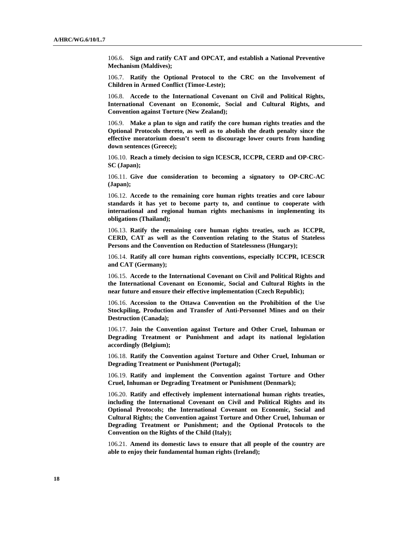106.6. **Sign and ratify CAT and OPCAT, and establish a National Preventive Mechanism (Maldives);** 

106.7. **Ratify the Optional Protocol to the CRC on the Involvement of Children in Armed Conflict (Timor-Leste);** 

106.8. **Accede to the International Covenant on Civil and Political Rights, International Covenant on Economic, Social and Cultural Rights, and Convention against Torture (New Zealand);** 

106.9. **Make a plan to sign and ratify the core human rights treaties and the Optional Protocols thereto, as well as to abolish the death penalty since the effective moratorium doesn't seem to discourage lower courts from handing down sentences (Greece);** 

106.10. **Reach a timely decision to sign ICESCR, ICCPR, CERD and OP-CRC-SC (Japan);** 

106.11. **Give due consideration to becoming a signatory to OP-CRC-AC (Japan);** 

106.12. **Accede to the remaining core human rights treaties and core labour standards it has yet to become party to, and continue to cooperate with international and regional human rights mechanisms in implementing its obligations (Thailand);** 

106.13. **Ratify the remaining core human rights treaties, such as ICCPR, CERD, CAT as well as the Convention relating to the Status of Stateless Persons and the Convention on Reduction of Statelessness (Hungary);** 

106.14. **Ratify all core human rights conventions, especially ICCPR, ICESCR and CAT (Germany);** 

106.15. **Accede to the International Covenant on Civil and Political Rights and the International Covenant on Economic, Social and Cultural Rights in the near future and ensure their effective implementation (Czech Republic);** 

106.16. **Accession to the Ottawa Convention on the Prohibition of the Use Stockpiling, Production and Transfer of Anti-Personnel Mines and on their Destruction (Canada);** 

106.17. **Join the Convention against Torture and Other Cruel, Inhuman or Degrading Treatment or Punishment and adapt its national legislation accordingly (Belgium);** 

106.18. **Ratify the Convention against Torture and Other Cruel, Inhuman or Degrading Treatment or Punishment (Portugal);** 

106.19. **Ratify and implement the Convention against Torture and Other Cruel, Inhuman or Degrading Treatment or Punishment (Denmark);** 

106.20. **Ratify and effectively implement international human rights treaties, including the International Covenant on Civil and Political Rights and its Optional Protocols; the International Covenant on Economic, Social and Cultural Rights; the Convention against Torture and Other Cruel, Inhuman or Degrading Treatment or Punishment; and the Optional Protocols to the Convention on the Rights of the Child (Italy);** 

106.21. **Amend its domestic laws to ensure that all people of the country are able to enjoy their fundamental human rights (Ireland);**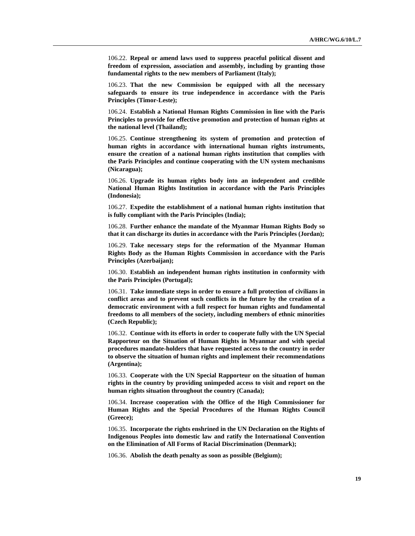106.22. **Repeal or amend laws used to suppress peaceful political dissent and freedom of expression, association and assembly, including by granting those fundamental rights to the new members of Parliament (Italy);** 

106.23. **That the new Commission be equipped with all the necessary safeguards to ensure its true independence in accordance with the Paris Principles (Timor-Leste);** 

106.24. **Establish a National Human Rights Commission in line with the Paris Principles to provide for effective promotion and protection of human rights at the national level (Thailand);** 

106.25. **Continue strengthening its system of promotion and protection of human rights in accordance with international human rights instruments, ensure the creation of a national human rights institution that complies with the Paris Principles and continue cooperating with the UN system mechanisms (Nicaragua);** 

106.26. **Upgrade its human rights body into an independent and credible National Human Rights Institution in accordance with the Paris Principles (Indonesia);** 

106.27. **Expedite the establishment of a national human rights institution that is fully compliant with the Paris Principles (India);** 

106.28. **Further enhance the mandate of the Myanmar Human Rights Body so that it can discharge its duties in accordance with the Paris Principles (Jordan);** 

106.29. **Take necessary steps for the reformation of the Myanmar Human Rights Body as the Human Rights Commission in accordance with the Paris Principles (Azerbaijan);** 

106.30. **Establish an independent human rights institution in conformity with the Paris Principles (Portugal);** 

106.31. **Take immediate steps in order to ensure a full protection of civilians in conflict areas and to prevent such conflicts in the future by the creation of a democratic environment with a full respect for human rights and fundamental freedoms to all members of the society, including members of ethnic minorities (Czech Republic);** 

106.32. **Continue with its efforts in order to cooperate fully with the UN Special Rapporteur on the Situation of Human Rights in Myanmar and with special procedures mandate-holders that have requested access to the country in order to observe the situation of human rights and implement their recommendations (Argentina);** 

106.33. **Cooperate with the UN Special Rapporteur on the situation of human rights in the country by providing unimpeded access to visit and report on the human rights situation throughout the country (Canada);** 

106.34. **Increase cooperation with the Office of the High Commissioner for Human Rights and the Special Procedures of the Human Rights Council (Greece);** 

106.35. **Incorporate the rights enshrined in the UN Declaration on the Rights of Indigenous Peoples into domestic law and ratify the International Convention on the Elimination of All Forms of Racial Discrimination (Denmark);** 

106.36. **Abolish the death penalty as soon as possible (Belgium);**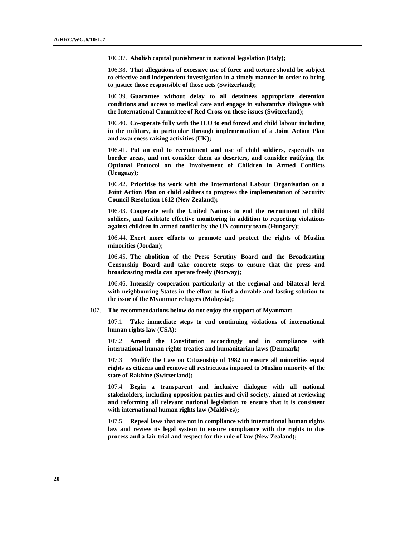106.37. **Abolish capital punishment in national legislation (Italy);** 

106.38. **That allegations of excessive use of force and torture should be subject to effective and independent investigation in a timely manner in order to bring to justice those responsible of those acts (Switzerland);** 

106.39. **Guarantee without delay to all detainees appropriate detention conditions and access to medical care and engage in substantive dialogue with the International Committee of Red Cross on these issues (Switzerland);** 

106.40. **Co-operate fully with the ILO to end forced and child labour including in the military, in particular through implementation of a Joint Action Plan and awareness raising activities (UK);** 

106.41. **Put an end to recruitment and use of child soldiers, especially on border areas, and not consider them as deserters, and consider ratifying the Optional Protocol on the Involvement of Children in Armed Conflicts (Uruguay);** 

106.42. **Prioritise its work with the International Labour Organisation on a Joint Action Plan on child soldiers to progress the implementation of Security Council Resolution 1612 (New Zealand);** 

106.43. **Cooperate with the United Nations to end the recruitment of child soldiers, and facilitate effective monitoring in addition to reporting violations against children in armed conflict by the UN country team (Hungary);** 

106.44. **Exert more efforts to promote and protect the rights of Muslim minorities (Jordan);** 

106.45. **The abolition of the Press Scrutiny Board and the Broadcasting Censorship Board and take concrete steps to ensure that the press and broadcasting media can operate freely (Norway);** 

106.46. **Intensify cooperation particularly at the regional and bilateral level with neighbouring States in the effort to find a durable and lasting solution to the issue of the Myanmar refugees (Malaysia);**

107. **The recommendations below do not enjoy the support of Myanmar:**

107.1. **Take immediate steps to end continuing violations of international human rights law (USA);** 

107.2. **Amend the Constitution accordingly and in compliance with international human rights treaties and humanitarian laws (Denmark)** 

107.3. **Modify the Law on Citizenship of 1982 to ensure all minorities equal rights as citizens and remove all restrictions imposed to Muslim minority of the state of Rakhine (Switzerland);** 

107.4. **Begin a transparent and inclusive dialogue with all national stakeholders, including opposition parties and civil society, aimed at reviewing and reforming all relevant national legislation to ensure that it is consistent with international human rights law (Maldives);** 

107.5. **Repeal laws that are not in compliance with international human rights law and review its legal system to ensure compliance with the rights to due process and a fair trial and respect for the rule of law (New Zealand);**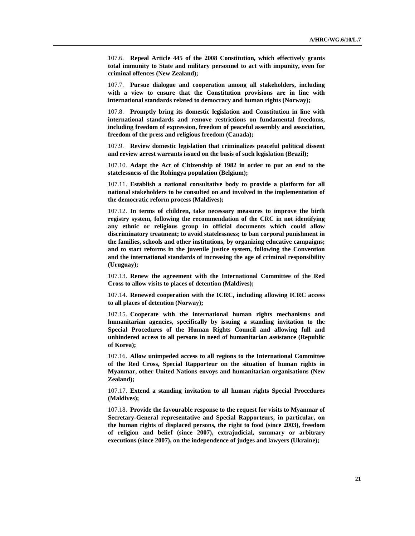107.6. **Repeal Article 445 of the 2008 Constitution, which effectively grants total immunity to State and military personnel to act with impunity, even for criminal offences (New Zealand);** 

107.7. **Pursue dialogue and cooperation among all stakeholders, including with a view to ensure that the Constitution provisions are in line with international standards related to democracy and human rights (Norway);** 

107.8. **Promptly bring its domestic legislation and Constitution in line with international standards and remove restrictions on fundamental freedoms, including freedom of expression, freedom of peaceful assembly and association, freedom of the press and religious freedom (Canada);** 

107.9. **Review domestic legislation that criminalizes peaceful political dissent and review arrest warrants issued on the basis of such legislation (Brazil);** 

107.10. **Adapt the Act of Citizenship of 1982 in order to put an end to the statelessness of the Rohingya population (Belgium);** 

107.11. **Establish a national consultative body to provide a platform for all national stakeholders to be consulted on and involved in the implementation of the democratic reform process (Maldives);** 

107.12. **In terms of children, take necessary measures to improve the birth registry system, following the recommendation of the CRC in not identifying any ethnic or religious group in official documents which could allow discriminatory treatment; to avoid statelessness; to ban corporal punishment in the families, schools and other institutions, by organizing educative campaigns; and to start reforms in the juvenile justice system, following the Convention and the international standards of increasing the age of criminal responsibility (Uruguay);** 

107.13. **Renew the agreement with the International Committee of the Red Cross to allow visits to places of detention (Maldives);** 

107.14. **Renewed cooperation with the ICRC, including allowing ICRC access to all places of detention (Norway);** 

107.15. **Cooperate with the international human rights mechanisms and humanitarian agencies, specifically by issuing a standing invitation to the Special Procedures of the Human Rights Council and allowing full and unhindered access to all persons in need of humanitarian assistance (Republic of Korea);** 

107.16. **Allow unimpeded access to all regions to the International Committee of the Red Cross, Special Rapporteur on the situation of human rights in Myanmar, other United Nations envoys and humanitarian organisations (New Zealand);** 

107.17. **Extend a standing invitation to all human rights Special Procedures (Maldives);** 

107.18. **Provide the favourable response to the request for visits to Myanmar of Secretary-General representative and Special Rapporteurs, in particular, on the human rights of displaced persons, the right to food (since 2003), freedom of religion and belief (since 2007), extrajudicial, summary or arbitrary executions (since 2007), on the independence of judges and lawyers (Ukraine);**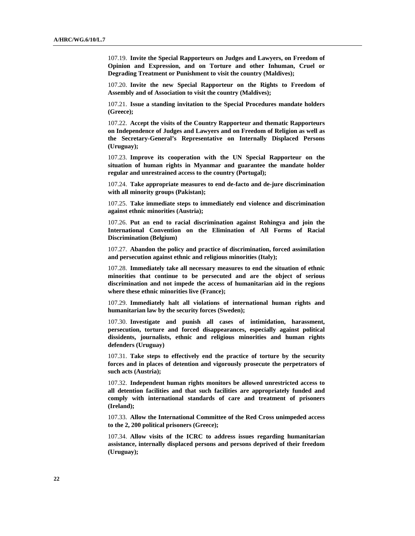107.19. **Invite the Special Rapporteurs on Judges and Lawyers, on Freedom of Opinion and Expression, and on Torture and other Inhuman, Cruel or Degrading Treatment or Punishment to visit the country (Maldives);** 

107.20. **Invite the new Special Rapporteur on the Rights to Freedom of Assembly and of Association to visit the country (Maldives);** 

107.21. **Issue a standing invitation to the Special Procedures mandate holders (Greece);** 

107.22. **Accept the visits of the Country Rapporteur and thematic Rapporteurs on Independence of Judges and Lawyers and on Freedom of Religion as well as the Secretary-General's Representative on Internally Displaced Persons (Uruguay);** 

107.23. **Improve its cooperation with the UN Special Rapporteur on the situation of human rights in Myanmar and guarantee the mandate holder regular and unrestrained access to the country (Portugal);** 

107.24. **Take appropriate measures to end de-facto and de-jure discrimination with all minority groups (Pakistan);** 

107.25. **Take immediate steps to immediately end violence and discrimination against ethnic minorities (Austria);** 

107.26. **Put an end to racial discrimination against Rohingya and join the International Convention on the Elimination of All Forms of Racial Discrimination (Belgium)** 

107.27. **Abandon the policy and practice of discrimination, forced assimilation and persecution against ethnic and religious minorities (Italy);** 

107.28. **Immediately take all necessary measures to end the situation of ethnic minorities that continue to be persecuted and are the object of serious discrimination and not impede the access of humanitarian aid in the regions where these ethnic minorities live (France);** 

107.29. **Immediately halt all violations of international human rights and humanitarian law by the security forces (Sweden);** 

107.30. **Investigate and punish all cases of intimidation, harassment, persecution, torture and forced disappearances, especially against political dissidents, journalists, ethnic and religious minorities and human rights defenders (Uruguay)** 

107.31. **Take steps to effectively end the practice of torture by the security forces and in places of detention and vigorously prosecute the perpetrators of such acts (Austria);** 

107.32. **Independent human rights monitors be allowed unrestricted access to all detention facilities and that such facilities are appropriately funded and comply with international standards of care and treatment of prisoners (Ireland);** 

107.33. **Allow the International Committee of the Red Cross unimpeded access to the 2, 200 political prisoners (Greece);** 

107.34. **Allow visits of the ICRC to address issues regarding humanitarian assistance, internally displaced persons and persons deprived of their freedom (Uruguay);**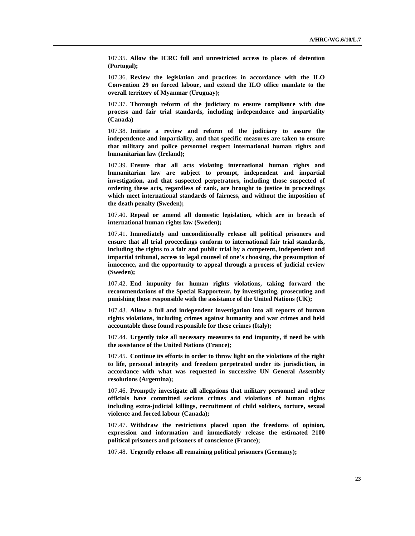107.35. **Allow the ICRC full and unrestricted access to places of detention (Portugal);** 

107.36. **Review the legislation and practices in accordance with the ILO Convention 29 on forced labour, and extend the ILO office mandate to the overall territory of Myanmar (Uruguay);** 

107.37. **Thorough reform of the judiciary to ensure compliance with due process and fair trial standards, including independence and impartiality (Canada)** 

107.38. **Initiate a review and reform of the judiciary to assure the independence and impartiality, and that specific measures are taken to ensure that military and police personnel respect international human rights and humanitarian law (Ireland);** 

107.39. **Ensure that all acts violating international human rights and humanitarian law are subject to prompt, independent and impartial investigation, and that suspected perpetrators, including those suspected of ordering these acts, regardless of rank, are brought to justice in proceedings which meet international standards of fairness, and without the imposition of the death penalty (Sweden);** 

107.40. **Repeal or amend all domestic legislation, which are in breach of international human rights law (Sweden);** 

107.41. **Immediately and unconditionally release all political prisoners and ensure that all trial proceedings conform to international fair trial standards, including the rights to a fair and public trial by a competent, independent and impartial tribunal, access to legal counsel of one's choosing, the presumption of innocence, and the opportunity to appeal through a process of judicial review (Sweden);** 

107.42. **End impunity for human rights violations, taking forward the recommendations of the Special Rapporteur, by investigating, prosecuting and punishing those responsible with the assistance of the United Nations (UK);** 

107.43. **Allow a full and independent investigation into all reports of human rights violations, including crimes against humanity and war crimes and held accountable those found responsible for these crimes (Italy);** 

107.44. **Urgently take all necessary measures to end impunity, if need be with the assistance of the United Nations (France);** 

107.45. **Continue its efforts in order to throw light on the violations of the right to life, personal integrity and freedom perpetrated under its jurisdiction, in accordance with what was requested in successive UN General Assembly resolutions (Argentina);** 

107.46. **Promptly investigate all allegations that military personnel and other officials have committed serious crimes and violations of human rights including extra-judicial killings, recruitment of child soldiers, torture, sexual violence and forced labour (Canada);** 

107.47. **Withdraw the restrictions placed upon the freedoms of opinion, expression and information and immediately release the estimated 2100 political prisoners and prisoners of conscience (France);** 

107.48. **Urgently release all remaining political prisoners (Germany);**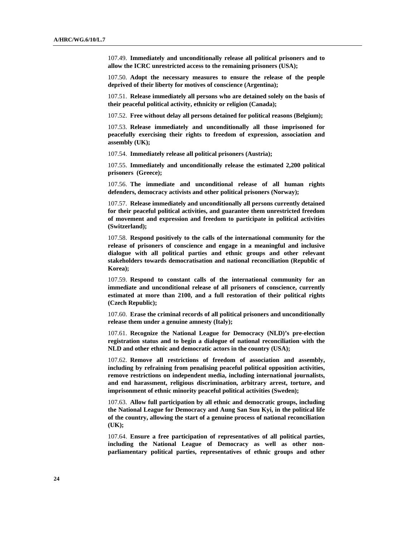107.49. **Immediately and unconditionally release all political prisoners and to allow the ICRC unrestricted access to the remaining prisoners (USA);** 

107.50. **Adopt the necessary measures to ensure the release of the people deprived of their liberty for motives of conscience (Argentina);** 

107.51. **Release immediately all persons who are detained solely on the basis of their peaceful political activity, ethnicity or religion (Canada);** 

107.52. **Free without delay all persons detained for political reasons (Belgium);** 

107.53. **Release immediately and unconditionally all those imprisoned for peacefully exercising their rights to freedom of expression, association and assembly (UK);** 

107.54. **Immediately release all political prisoners (Austria);** 

107.55. **Immediately and unconditionally release the estimated 2,200 political prisoners (Greece);** 

107.56. **The immediate and unconditional release of all human rights defenders, democracy activists and other political prisoners (Norway);** 

107.57. **Release immediately and unconditionally all persons currently detained for their peaceful political activities, and guarantee them unrestricted freedom of movement and expression and freedom to participate in political activities (Switzerland);** 

107.58. **Respond positively to the calls of the international community for the release of prisoners of conscience and engage in a meaningful and inclusive dialogue with all political parties and ethnic groups and other relevant stakeholders towards democratisation and national reconciliation (Republic of Korea);** 

107.59. **Respond to constant calls of the international community for an immediate and unconditional release of all prisoners of conscience, currently estimated at more than 2100, and a full restoration of their political rights (Czech Republic);** 

107.60. **Erase the criminal records of all political prisoners and unconditionally release them under a genuine amnesty (Italy);** 

107.61. **Recognize the National League for Democracy (NLD)'s pre-election registration status and to begin a dialogue of national reconciliation with the NLD and other ethnic and democratic actors in the country (USA);** 

107.62. **Remove all restrictions of freedom of association and assembly, including by refraining from penalising peaceful political opposition activities, remove restrictions on independent media, including international journalists, and end harassment, religious discrimination, arbitrary arrest, torture, and imprisonment of ethnic minority peaceful political activities (Sweden);** 

107.63. **Allow full participation by all ethnic and democratic groups, including the National League for Democracy and Aung San Suu Kyi, in the political life of the country, allowing the start of a genuine process of national reconciliation (UK);** 

107.64. **Ensure a free participation of representatives of all political parties, including the National League of Democracy as well as other nonparliamentary political parties, representatives of ethnic groups and other**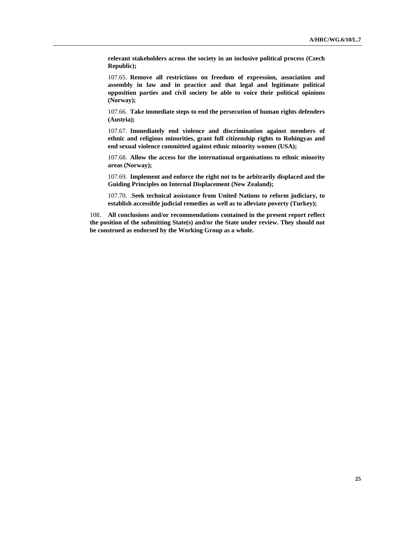**relevant stakeholders across the society in an inclusive political process (Czech Republic);** 

107.65. **Remove all restrictions on freedom of expression, association and assembly in law and in practice and that legal and legitimate political opposition parties and civil society be able to voice their political opinions (Norway);** 

107.66. **Take immediate steps to end the persecution of human rights defenders (Austria);** 

107.67. **Immediately end violence and discrimination against members of ethnic and religious minorities, grant full citizenship rights to Rohingyas and end sexual violence committed against ethnic minority women (USA);** 

107.68. **Allow the access for the international organisations to ethnic minority areas (Norway);** 

107.69. **Implement and enforce the right not to be arbitrarily displaced and the Guiding Principles on Internal Displacement (New Zealand);** 

107.70. .**Seek technical assistance from United Nations to reform judiciary, to establish accessible judicial remedies as well as to alleviate poverty (Turkey);** 

108. **All conclusions and/or recommendations contained in the present report reflect the position of the submitting State(s) and/or the State under review. They should not be construed as endorsed by the Working Group as a whole.**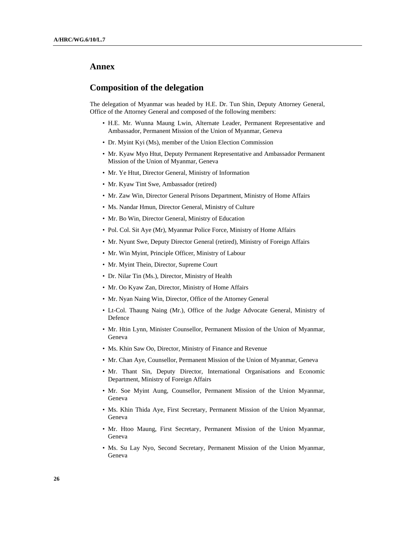## **Annex**

### **Composition of the delegation**

The delegation of Myanmar was headed by H.E. Dr. Tun Shin, Deputy Attorney General, Office of the Attorney General and composed of the following members:

- H.E. Mr. Wunna Maung Lwin, Alternate Leader, Permanent Representative and Ambassador, Permanent Mission of the Union of Myanmar, Geneva
- Dr. Myint Kyi (Ms), member of the Union Election Commission
- Mr. Kyaw Myo Htut, Deputy Permanent Representative and Ambassador Permanent Mission of the Union of Myanmar, Geneva
- Mr. Ye Htut, Director General, Ministry of Information
- Mr. Kyaw Tint Swe, Ambassador (retired)
- Mr. Zaw Win, Director General Prisons Department, Ministry of Home Affairs
- Ms. Nandar Hmun, Director General, Ministry of Culture
- Mr. Bo Win, Director General, Ministry of Education
- Pol. Col. Sit Aye (Mr), Myanmar Police Force, Ministry of Home Affairs
- Mr. Nyunt Swe, Deputy Director General (retired), Ministry of Foreign Affairs
- Mr. Win Myint, Principle Officer, Ministry of Labour
- Mr. Myint Thein, Director, Supreme Court
- Dr. Nilar Tin (Ms.), Director, Ministry of Health
- Mr. Oo Kyaw Zan, Director, Ministry of Home Affairs
- Mr. Nyan Naing Win, Director, Office of the Attorney General
- Lt-Col. Thaung Naing (Mr.), Office of the Judge Advocate General, Ministry of Defence
- Mr. Htin Lynn, Minister Counsellor, Permanent Mission of the Union of Myanmar, Geneva
- Ms. Khin Saw Oo, Director, Ministry of Finance and Revenue
- Mr. Chan Aye, Counsellor, Permanent Mission of the Union of Myanmar, Geneva
- Mr. Thant Sin, Deputy Director, International Organisations and Economic Department, Ministry of Foreign Affairs
- Mr. Soe Myint Aung, Counsellor, Permanent Mission of the Union Myanmar, Geneva
- Ms. Khin Thida Aye, First Secretary, Permanent Mission of the Union Myanmar, Geneva
- Mr. Htoo Maung, First Secretary, Permanent Mission of the Union Myanmar, Geneva
- Ms. Su Lay Nyo, Second Secretary, Permanent Mission of the Union Myanmar, Geneva